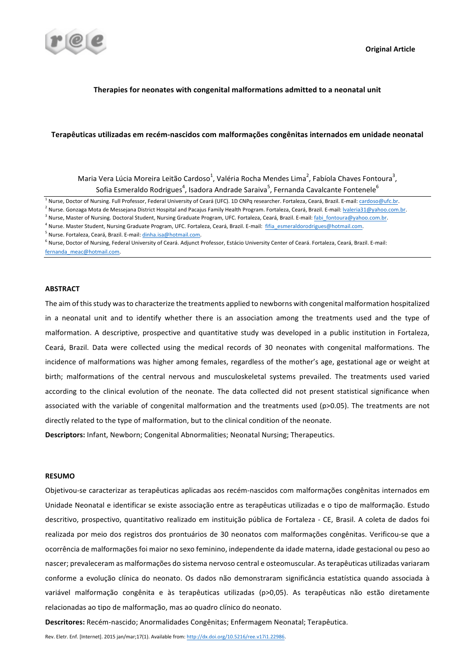

### **Therapies for neonates with congenital malformations admitted to a neonatal unit**

### Terapêuticas utilizadas em recém-nascidos com malformações congênitas internados em unidade neonatal

Maria Vera Lúcia Moreira Leitão Cardoso<sup>1</sup>, Valéria Rocha Mendes Lima<sup>2</sup>, Fabíola Chaves Fontoura<sup>3</sup>, Sofia Esmeraldo Rodrigues $^4$ , Isadora Andrade Saraiva $^5$ , Fernanda Cavalcante Fontenele $^6$ 

<sup>1</sup> Nurse, Doctor of Nursing. Full Professor, Federal University of Ceará (UFC). 1D CNPq researcher. Fortaleza, Ceará, Brazil. E-mail: cardoso@ufc.br.

<sup>3</sup> Nurse, Master of Nursing. Doctoral Student, Nursing Graduate Program, UFC. Fortaleza, Ceará, Brazil. E-mail: fabi\_fontoura@yahoo.com.br.

<sup>4</sup> Nurse. Master Student, Nursing Graduate Program, UFC. Fortaleza, Ceará, Brazil. E-mail: fifia esmeraldorodrigues@hotmail.com.

<sup>5</sup> Nurse. Fortaleza, Ceará, Brazil. E-mail: dinha.isa@hotmail.com.

#### **ABSTRACT**

The aim of this study was to characterize the treatments applied to newborns with congenital malformation hospitalized in a neonatal unit and to identify whether there is an association among the treatments used and the type of malformation. A descriptive, prospective and quantitative study was developed in a public institution in Fortaleza, Ceará, Brazil. Data were collected using the medical records of 30 neonates with congenital malformations. The incidence of malformations was higher among females, regardless of the mother's age, gestational age or weight at birth; malformations of the central nervous and musculoskeletal systems prevailed. The treatments used varied according to the clinical evolution of the neonate. The data collected did not present statistical significance when associated with the variable of congenital malformation and the treatments used ( $p$ >0.05). The treatments are not directly related to the type of malformation, but to the clinical condition of the neonate.

**Descriptors:** Infant, Newborn: Congenital Abnormalities: Neonatal Nursing: Therapeutics.

### **RESUMO**

Objetivou-se caracterizar as terapêuticas aplicadas aos recém-nascidos com malformações congênitas internados em Unidade Neonatal e identificar se existe associação entre as terapêuticas utilizadas e o tipo de malformação. Estudo descritivo, prospectivo, quantitativo realizado em instituição pública de Fortaleza - CE, Brasil. A coleta de dados foi realizada por meio dos registros dos prontuários de 30 neonatos com malformações congênitas. Verificou-se que a ocorrência de malformações foi maior no sexo feminino, independente da idade materna, idade gestacional ou peso ao nascer; prevaleceram as malformações do sistema nervoso central e osteomuscular. As terapêuticas utilizadas variaram conforme a evolução clínica do neonato. Os dados não demonstraram significância estatística quando associada à variável malformação congênita e às terapêuticas utilizadas (p>0,05). As terapêuticas não estão diretamente relacionadas ao tipo de malformação, mas ao quadro clínico do neonato.

**Descritores:** Recém-nascido; Anormalidades Congênitas; Enfermagem Neonatal; Terapêutica.

<sup>&</sup>lt;sup>2</sup> Nurse. Gonzaga Mota de Messejana District Hospital and Pacajus Family Health Program. Fortaleza, Ceará, Brazil. E-mail: <u>Ivaleria31@yahoo.com.br</u>.

<sup>&</sup>lt;sup>6</sup> Nurse, Doctor of Nursing, Federal University of Ceará. Adjunct Professor, Estácio University Center of Ceará. Fortaleza, Ceará, Brazil. E-mail: fernanda\_meac@hotmail.com.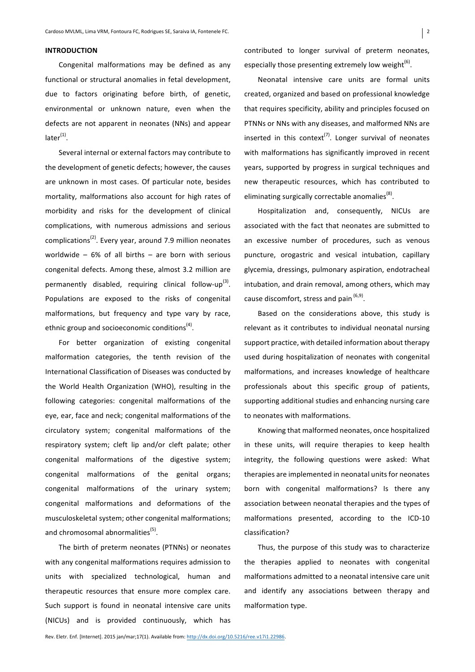### **INTRODUCTION**

Congenital malformations may be defined as any functional or structural anomalies in fetal development, due to factors originating before birth, of genetic, environmental or unknown nature, even when the defects are not apparent in neonates (NNs) and appear  $later<sup>(1)</sup>$ .

Several internal or external factors may contribute to the development of genetic defects; however, the causes are unknown in most cases. Of particular note, besides mortality, malformations also account for high rates of morbidity and risks for the development of clinical complications, with numerous admissions and serious complications<sup>(2)</sup>. Every year, around 7.9 million neonates worldwide  $-6%$  of all births  $-$  are born with serious congenital defects. Among these, almost 3.2 million are permanently disabled, requiring clinical follow-up<sup>(3)</sup>. Populations are exposed to the risks of congenital malformations, but frequency and type vary by race, ethnic group and socioeconomic conditions<sup> $(4)$ </sup>.

For better organization of existing congenital malformation categories, the tenth revision of the International Classification of Diseases was conducted by the World Health Organization (WHO), resulting in the following categories: congenital malformations of the eye, ear, face and neck; congenital malformations of the circulatory system; congenital malformations of the respiratory system; cleft lip and/or cleft palate; other congenital malformations of the digestive system; congenital malformations of the genital organs; congenital malformations of the urinary system; congenital malformations and deformations of the musculoskeletal system; other congenital malformations; and chromosomal abnormalities<sup>(5)</sup>.

The birth of preterm neonates (PTNNs) or neonates with any congenital malformations requires admission to units with specialized technological, human and therapeutic resources that ensure more complex care. Such support is found in neonatal intensive care units (NICUs) and is provided continuously, which has 

contributed to longer survival of preterm neonates, especially those presenting extremely low weight<sup>(6)</sup>.

Neonatal intensive care units are formal units created, organized and based on professional knowledge that requires specificity, ability and principles focused on PTNNs or NNs with any diseases, and malformed NNs are inserted in this context<sup>(7)</sup>. Longer survival of neonates with malformations has significantly improved in recent years, supported by progress in surgical techniques and new therapeutic resources, which has contributed to eliminating surgically correctable anomalies<sup>(8)</sup>.

Hospitalization and, consequently, NICUs are associated with the fact that neonates are submitted to an excessive number of procedures, such as venous puncture, orogastric and vesical intubation, capillary glycemia, dressings, pulmonary aspiration, endotracheal intubation, and drain removal, among others, which may cause discomfort, stress and pain  $(6,9)$ .

Based on the considerations above, this study is relevant as it contributes to individual neonatal nursing support practice, with detailed information about therapy used during hospitalization of neonates with congenital malformations, and increases knowledge of healthcare professionals about this specific group of patients, supporting additional studies and enhancing nursing care to neonates with malformations.

Knowing that malformed neonates, once hospitalized in these units, will require therapies to keep health integrity, the following questions were asked: What therapies are implemented in neonatal units for neonates born with congenital malformations? Is there any association between neonatal therapies and the types of malformations presented, according to the ICD-10 classification?

Thus, the purpose of this study was to characterize the therapies applied to neonates with congenital malformations admitted to a neonatal intensive care unit and identify any associations between therapy and malformation type.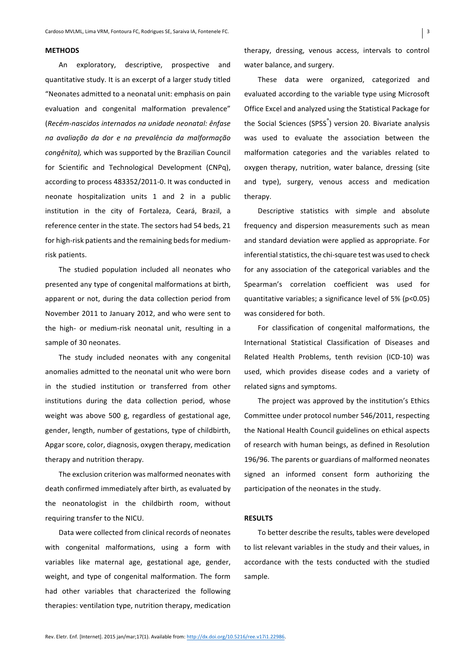#### **METHODS**

An exploratory, descriptive, prospective and quantitative study. It is an excerpt of a larger study titled "Neonates admitted to a neonatal unit: emphasis on pain evaluation and congenital malformation prevalence" (*Recém-nascidos internados na unidade neonatal: ênfase na avaliação da dor e na prevalência da malformação congênita)*, which was supported by the Brazilian Council for Scientific and Technological Development (CNPq), according to process 483352/2011-0. It was conducted in neonate hospitalization units 1 and 2 in a public institution in the city of Fortaleza, Ceará, Brazil, a reference center in the state. The sectors had 54 beds, 21 for high-risk patients and the remaining beds for mediumrisk patients.

The studied population included all neonates who presented any type of congenital malformations at birth, apparent or not, during the data collection period from November 2011 to January 2012, and who were sent to the high- or medium-risk neonatal unit, resulting in a sample of 30 neonates.

The study included neonates with any congenital anomalies admitted to the neonatal unit who were born in the studied institution or transferred from other institutions during the data collection period, whose weight was above 500 g, regardless of gestational age, gender, length, number of gestations, type of childbirth, Apgar score, color, diagnosis, oxygen therapy, medication therapy and nutrition therapy.

The exclusion criterion was malformed neonates with death confirmed immediately after birth, as evaluated by the neonatologist in the childbirth room, without requiring transfer to the NICU.

Data were collected from clinical records of neonates with congenital malformations, using a form with variables like maternal age, gestational age, gender, weight, and type of congenital malformation. The form had other variables that characterized the following therapies: ventilation type, nutrition therapy, medication

therapy, dressing, venous access, intervals to control water balance, and surgery.

These data were organized, categorized and evaluated according to the variable type using Microsoft Office Excel and analyzed using the Statistical Package for the Social Sciences (SPSS<sup>®</sup>) version 20. Bivariate analysis was used to evaluate the association between the malformation categories and the variables related to oxygen therapy, nutrition, water balance, dressing (site and type), surgery, venous access and medication therapy.

Descriptive statistics with simple and absolute frequency and dispersion measurements such as mean and standard deviation were applied as appropriate. For inferential statistics, the chi-square test was used to check for any association of the categorical variables and the Spearman's correlation coefficient was used for quantitative variables; a significance level of  $5\%$  (p<0.05) was considered for both.

For classification of congenital malformations, the International Statistical Classification of Diseases and Related Health Problems, tenth revision (ICD-10) was used, which provides disease codes and a variety of related signs and symptoms.

The project was approved by the institution's Ethics Committee under protocol number 546/2011, respecting the National Health Council guidelines on ethical aspects of research with human beings, as defined in Resolution 196/96. The parents or guardians of malformed neonates signed an informed consent form authorizing the participation of the neonates in the study.

#### **RESULTS**

To better describe the results, tables were developed to list relevant variables in the study and their values, in accordance with the tests conducted with the studied sample.

 $\vert$  3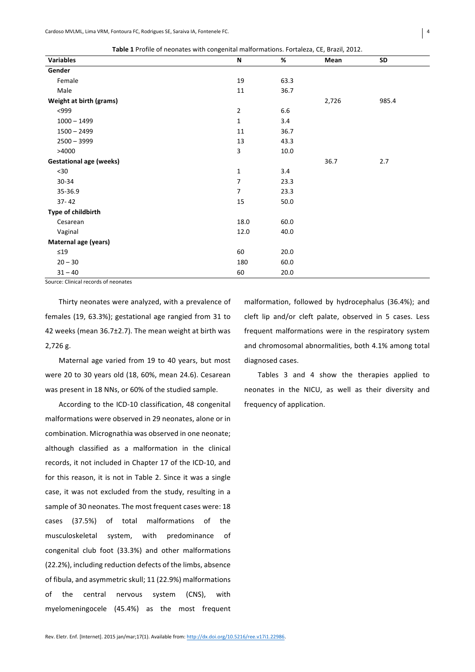| <b>Variables</b><br>%<br>N<br>Mean<br>SD<br>Gender<br>Female<br>63.3<br>19<br>Male<br>11<br>36.7<br>Weight at birth (grams)<br>2,726<br>985.4<br>6.6<br>< 999<br>$\overline{2}$<br>$1000 - 1499$<br>$\mathbf{1}$<br>3.4<br>$1500 - 2499$<br>36.7<br>11<br>$2500 - 3999$<br>13<br>43.3<br>3<br>>4000<br>10.0<br><b>Gestational age (weeks)</b><br>36.7<br>2.7<br>$30$<br>3.4<br>$\mathbf{1}$<br>$\overline{7}$<br>30-34<br>23.3<br>35-36.9<br>$\overline{7}$<br>23.3<br>$37 - 42$<br>15<br>50.0<br>Type of childbirth<br>18.0<br>60.0<br>Cesarean<br>Vaginal<br>12.0<br>40.0<br>Maternal age (years)<br>$\leq$ 19<br>60<br>20.0<br>$20 - 30$<br>180<br>60.0<br>$31 - 40$<br>20.0<br>60<br>$-1$<br>$\sim$ | ັ |  |  |
|---------------------------------------------------------------------------------------------------------------------------------------------------------------------------------------------------------------------------------------------------------------------------------------------------------------------------------------------------------------------------------------------------------------------------------------------------------------------------------------------------------------------------------------------------------------------------------------------------------------------------------------------------------------------------------------------------------|---|--|--|
|                                                                                                                                                                                                                                                                                                                                                                                                                                                                                                                                                                                                                                                                                                         |   |  |  |
|                                                                                                                                                                                                                                                                                                                                                                                                                                                                                                                                                                                                                                                                                                         |   |  |  |
|                                                                                                                                                                                                                                                                                                                                                                                                                                                                                                                                                                                                                                                                                                         |   |  |  |
|                                                                                                                                                                                                                                                                                                                                                                                                                                                                                                                                                                                                                                                                                                         |   |  |  |
|                                                                                                                                                                                                                                                                                                                                                                                                                                                                                                                                                                                                                                                                                                         |   |  |  |
|                                                                                                                                                                                                                                                                                                                                                                                                                                                                                                                                                                                                                                                                                                         |   |  |  |
|                                                                                                                                                                                                                                                                                                                                                                                                                                                                                                                                                                                                                                                                                                         |   |  |  |
|                                                                                                                                                                                                                                                                                                                                                                                                                                                                                                                                                                                                                                                                                                         |   |  |  |
|                                                                                                                                                                                                                                                                                                                                                                                                                                                                                                                                                                                                                                                                                                         |   |  |  |
|                                                                                                                                                                                                                                                                                                                                                                                                                                                                                                                                                                                                                                                                                                         |   |  |  |
|                                                                                                                                                                                                                                                                                                                                                                                                                                                                                                                                                                                                                                                                                                         |   |  |  |
|                                                                                                                                                                                                                                                                                                                                                                                                                                                                                                                                                                                                                                                                                                         |   |  |  |
|                                                                                                                                                                                                                                                                                                                                                                                                                                                                                                                                                                                                                                                                                                         |   |  |  |
|                                                                                                                                                                                                                                                                                                                                                                                                                                                                                                                                                                                                                                                                                                         |   |  |  |
|                                                                                                                                                                                                                                                                                                                                                                                                                                                                                                                                                                                                                                                                                                         |   |  |  |
|                                                                                                                                                                                                                                                                                                                                                                                                                                                                                                                                                                                                                                                                                                         |   |  |  |
|                                                                                                                                                                                                                                                                                                                                                                                                                                                                                                                                                                                                                                                                                                         |   |  |  |
|                                                                                                                                                                                                                                                                                                                                                                                                                                                                                                                                                                                                                                                                                                         |   |  |  |
|                                                                                                                                                                                                                                                                                                                                                                                                                                                                                                                                                                                                                                                                                                         |   |  |  |
|                                                                                                                                                                                                                                                                                                                                                                                                                                                                                                                                                                                                                                                                                                         |   |  |  |
|                                                                                                                                                                                                                                                                                                                                                                                                                                                                                                                                                                                                                                                                                                         |   |  |  |
|                                                                                                                                                                                                                                                                                                                                                                                                                                                                                                                                                                                                                                                                                                         |   |  |  |

Source: Clinical records of neonates

Thirty neonates were analyzed, with a prevalence of females (19, 63.3%); gestational age rangied from 31 to 42 weeks (mean  $36.7\pm2.7$ ). The mean weight at birth was 2.726 g.

Maternal age varied from 19 to 40 years, but most were 20 to 30 years old (18, 60%, mean 24.6). Cesarean was present in 18 NNs, or 60% of the studied sample.

According to the ICD-10 classification, 48 congenital malformations were observed in 29 neonates, alone or in combination. Micrognathia was observed in one neonate; although classified as a malformation in the clinical records, it not included in Chapter 17 of the ICD-10, and for this reason, it is not in Table 2. Since it was a single case, it was not excluded from the study, resulting in a sample of 30 neonates. The most frequent cases were: 18 cases (37.5%) of total malformations of the musculoskeletal system, with predominance of congenital club foot (33.3%) and other malformations (22.2%), including reduction defects of the limbs, absence of fibula, and asymmetric skull; 11 (22.9%) malformations of the central nervous system (CNS), with myelomeningocele (45.4%) as the most frequent malformation, followed by hydrocephalus (36.4%); and cleft lip and/or cleft palate, observed in 5 cases. Less frequent malformations were in the respiratory system and chromosomal abnormalities, both 4.1% among total diagnosed cases.

Tables 3 and 4 show the therapies applied to neonates in the NICU, as well as their diversity and frequency of application.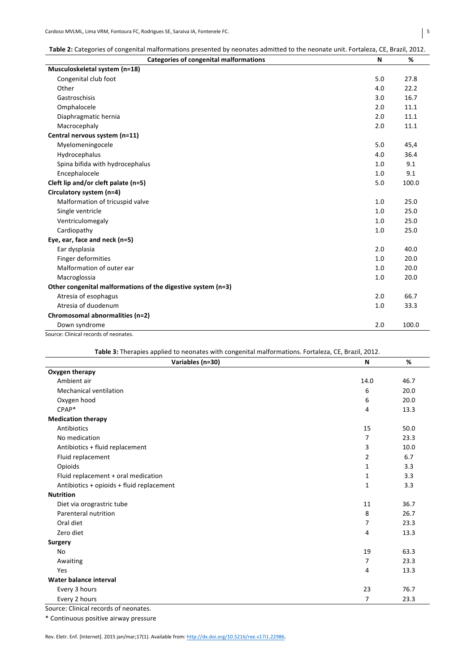| Table 2: Categories of congenital malformations presented by neonates admitted to the neonate unit. Fortaleza, CE, Brazil, 2012. |  |  |
|----------------------------------------------------------------------------------------------------------------------------------|--|--|
|----------------------------------------------------------------------------------------------------------------------------------|--|--|

| <b>Categories of congenital malformations</b>                | N   | %     |
|--------------------------------------------------------------|-----|-------|
| Musculoskeletal system (n=18)                                |     |       |
| Congenital club foot                                         | 5.0 | 27.8  |
| Other                                                        | 4.0 | 22.2  |
| Gastroschisis                                                | 3.0 | 16.7  |
| Omphalocele                                                  | 2.0 | 11.1  |
| Diaphragmatic hernia                                         | 2.0 | 11.1  |
| Macrocephaly                                                 | 2.0 | 11.1  |
| Central nervous system (n=11)                                |     |       |
| Myelomeningocele                                             | 5.0 | 45,4  |
| Hydrocephalus                                                | 4.0 | 36.4  |
| Spina bifida with hydrocephalus                              | 1.0 | 9.1   |
| Encephalocele                                                | 1.0 | 9.1   |
| Cleft lip and/or cleft palate (n=5)                          | 5.0 | 100.0 |
| Circulatory system (n=4)                                     |     |       |
| Malformation of tricuspid valve                              | 1.0 | 25.0  |
| Single ventricle                                             | 1.0 | 25.0  |
| Ventriculomegaly                                             | 1.0 | 25.0  |
| Cardiopathy                                                  | 1.0 | 25.0  |
| Eye, ear, face and neck (n=5)                                |     |       |
| Ear dysplasia                                                | 2.0 | 40.0  |
| Finger deformities                                           | 1.0 | 20.0  |
| Malformation of outer ear                                    | 1.0 | 20.0  |
| Macroglossia                                                 | 1.0 | 20.0  |
| Other congenital malformations of the digestive system (n=3) |     |       |
| Atresia of esophagus                                         | 2.0 | 66.7  |
| Atresia of duodenum                                          | 1.0 | 33.3  |
| Chromosomal abnormalities (n=2)                              |     |       |
| Down syndrome                                                | 2.0 | 100.0 |

Source: Clinical records of neonates.

| Table 3: Therapies applied to neonates with congenital malformations. Fortaleza, CE, Brazil, 2012. |                |      |
|----------------------------------------------------------------------------------------------------|----------------|------|
| Variables (n=30)                                                                                   | N              | %    |
| Oxygen therapy                                                                                     |                |      |
| Ambient air                                                                                        | 14.0           | 46.7 |
| Mechanical ventilation                                                                             | 6              | 20.0 |
| Oxygen hood                                                                                        | 6              | 20.0 |
| CPAP*                                                                                              | 4              | 13.3 |
| <b>Medication therapy</b>                                                                          |                |      |
| Antibiotics                                                                                        | 15             | 50.0 |
| No medication                                                                                      | 7              | 23.3 |
| Antibiotics + fluid replacement                                                                    | 3              | 10.0 |
| Fluid replacement                                                                                  | $\overline{2}$ | 6.7  |
| Opioids                                                                                            | 1              | 3.3  |
| Fluid replacement + oral medication                                                                | $\mathbf{1}$   | 3.3  |
| Antibiotics + opioids + fluid replacement                                                          | $\mathbf{1}$   | 3.3  |
| <b>Nutrition</b>                                                                                   |                |      |
| Diet via orograstric tube                                                                          | 11             | 36.7 |
| Parenteral nutrition                                                                               | 8              | 26.7 |
| Oral diet                                                                                          | $\overline{7}$ | 23.3 |
| Zero diet                                                                                          | 4              | 13.3 |
| Surgery                                                                                            |                |      |
| No                                                                                                 | 19             | 63.3 |
| Awaiting                                                                                           | $\overline{7}$ | 23.3 |
| Yes                                                                                                | 4              | 13.3 |
| Water balance interval                                                                             |                |      |
| Every 3 hours                                                                                      | 23             | 76.7 |
| Every 2 hours                                                                                      | 7              | 23.3 |

Source: Clinical records of neonates.

\* Continuous positive airway pressure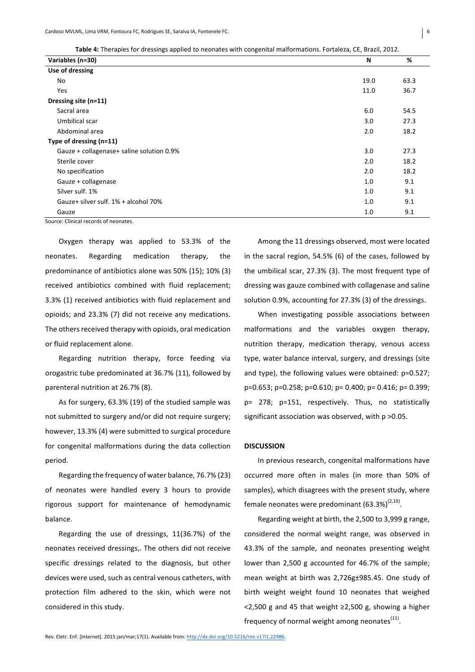| Variables (n=30)                                          | N    | %    |
|-----------------------------------------------------------|------|------|
| Use of dressing                                           |      |      |
| No                                                        | 19.0 | 63.3 |
| Yes                                                       | 11.0 | 36.7 |
| Dressing site (n=11)                                      |      |      |
| Sacral area                                               | 6.0  | 54.5 |
| Umbilical scar                                            | 3.0  | 27.3 |
| Abdominal area                                            | 2.0  | 18.2 |
| Type of dressing (n=11)                                   |      |      |
| Gauze + collagenase+ saline solution 0.9%                 | 3.0  | 27.3 |
| Sterile cover                                             | 2.0  | 18.2 |
| No specification                                          | 2.0  | 18.2 |
| Gauze + collagenase                                       | 1.0  | 9.1  |
| Silver sulf. 1%                                           | 1.0  | 9.1  |
| Gauze+ silver sulf. 1% + alcohol 70%                      | 1.0  | 9.1  |
| Gauze<br>$\sim$ $\sim$ $\sim$ $\sim$ $\sim$ $\sim$ $\sim$ | 1.0  | 9.1  |

Source: Clinical records of neonates

Oxygen therapy was applied to 53.3% of the neonates. Regarding medication therapy, the predominance of antibiotics alone was 50% (15); 10% (3) received antibiotics combined with fluid replacement; 3.3% (1) received antibiotics with fluid replacement and opioids; and 23.3% (7) did not receive any medications. The others received therapy with opioids, oral medication or fluid replacement alone.

Regarding nutrition therapy, force feeding via orogastric tube predominated at 36.7% (11), followed by parenteral nutrition at 26.7% (8).

As for surgery, 63.3% (19) of the studied sample was not submitted to surgery and/or did not require surgery; however, 13.3% (4) were submitted to surgical procedure for congenital malformations during the data collection period.

Regarding the frequency of water balance, 76.7% (23) of neonates were handled every 3 hours to provide rigorous support for maintenance of hemodynamic balance.

Regarding the use of dressings,  $11(36.7%)$  of the neonates received dressings,. The others did not receive specific dressings related to the diagnosis, but other devices were used, such as central venous catheters, with protection film adhered to the skin, which were not considered in this study.

Among the 11 dressings observed, most were located in the sacral region,  $54.5\%$  (6) of the cases, followed by the umbilical scar, 27.3% (3). The most frequent type of dressing was gauze combined with collagenase and saline solution 0.9%, accounting for 27.3% (3) of the dressings.

When investigating possible associations between malformations and the variables oxygen therapy, nutrition therapy, medication therapy, venous access type, water balance interval, surgery, and dressings (site and type), the following values were obtained:  $p=0.527$ ; p=0.653; p=0.258; p=0.610; p= 0.400; p= 0.416; p= 0.399; p= 278; p=151, respectively. Thus, no statistically significant association was observed, with  $p > 0.05$ .

### **DISCUSSION**

In previous research, congenital malformations have occurred more often in males (in more than 50% of samples), which disagrees with the present study, where female neonates were predominant  $(63.3\%)^{(2,10)}$ .

Regarding weight at birth, the 2,500 to 3,999 g range, considered the normal weight range, was observed in 43.3% of the sample, and neonates presenting weight lower than 2,500 g accounted for 46.7% of the sample; mean weight at birth was 2,726g±985.45. One study of birth weight weight found 10 neonates that weighed  $<$ 2,500 g and 45 that weight  $\ge$ 2,500 g, showing a higher frequency of normal weight among neonates $<sup>(11)</sup>$ .</sup>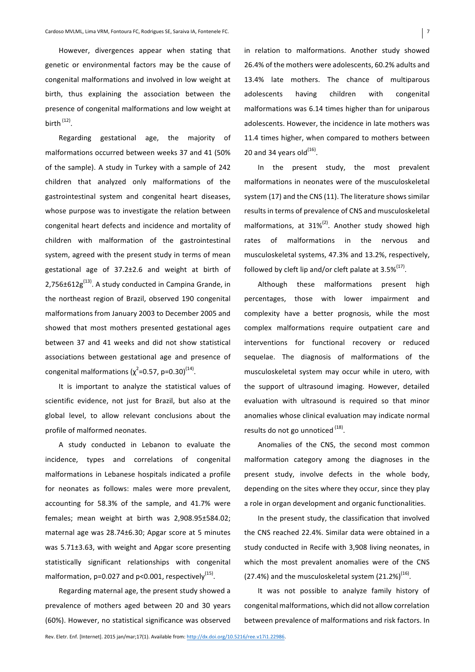However, divergences appear when stating that genetic or environmental factors may be the cause of congenital malformations and involved in low weight at birth, thus explaining the association between the presence of congenital malformations and low weight at birth  $(12)$ .

Regarding gestational age, the majority of malformations occurred between weeks 37 and 41 (50% of the sample). A study in Turkey with a sample of 242 children that analyzed only malformations of the gastrointestinal system and congenital heart diseases, whose purpose was to investigate the relation between congenital heart defects and incidence and mortality of children with malformation of the gastrointestinal system, agreed with the present study in terms of mean gestational age of  $37.2\pm2.6$  and weight at birth of 2,756 $\pm$ 612g<sup>(13)</sup>. A study conducted in Campina Grande, in the northeast region of Brazil, observed 190 congenital malformations from January 2003 to December 2005 and showed that most mothers presented gestational ages between 37 and 41 weeks and did not show statistical associations between gestational age and presence of congenital malformations ( $\chi^2$ =0.57, p=0.30)<sup>(14)</sup>.

It is important to analyze the statistical values of scientific evidence, not just for Brazil, but also at the global level, to allow relevant conclusions about the profile of malformed neonates.

A study conducted in Lebanon to evaluate the incidence, types and correlations of congenital malformations in Lebanese hospitals indicated a profile for neonates as follows: males were more prevalent, accounting for 58.3% of the sample, and 41.7% were females; mean weight at birth was 2,908.95±584.02; maternal age was 28.74±6.30; Apgar score at 5 minutes was 5.71±3.63, with weight and Apgar score presenting statistically significant relationships with congenital malformation,  $p=0.027$  and  $p<0.001$ , respectively<sup>(15)</sup>.

Regarding maternal age, the present study showed a prevalence of mothers aged between 20 and 30 years (60%). However, no statistical significance was observed in relation to malformations. Another study showed 26.4% of the mothers were adolescents, 60.2% adults and 13.4% late mothers. The chance of multiparous adolescents having children with congenital malformations was 6.14 times higher than for uniparous adolescents. However, the incidence in late mothers was 11.4 times higher, when compared to mothers between 20 and 34 years old $^{(16)}$ .

In the present study, the most prevalent malformations in neonates were of the musculoskeletal system (17) and the CNS (11). The literature shows similar results in terms of prevalence of CNS and musculoskeletal malformations, at  $31\%^{(2)}$ . Another study showed high rates of malformations in the nervous and musculoskeletal systems, 47.3% and 13.2%, respectively, followed by cleft lip and/or cleft palate at  $3.5\%^{(17)}$ .

Although these malformations present high percentages, those with lower impairment and complexity have a better prognosis, while the most complex malformations require outpatient care and interventions for functional recovery or reduced sequelae. The diagnosis of malformations of the musculoskeletal system may occur while in utero, with the support of ultrasound imaging. However, detailed evaluation with ultrasound is required so that minor anomalies whose clinical evaluation may indicate normal results do not go unnoticed  $<sup>(18)</sup>$ .</sup>

Anomalies of the CNS, the second most common malformation category among the diagnoses in the present study, involve defects in the whole body, depending on the sites where they occur, since they play a role in organ development and organic functionalities.

In the present study, the classification that involved the CNS reached 22.4%. Similar data were obtained in a study conducted in Recife with 3,908 living neonates, in which the most prevalent anomalies were of the CNS (27.4%) and the musculoskeletal system  $(21.2\%)^{(16)}$ .

It was not possible to analyze family history of congenital malformations, which did not allow correlation between prevalence of malformations and risk factors. In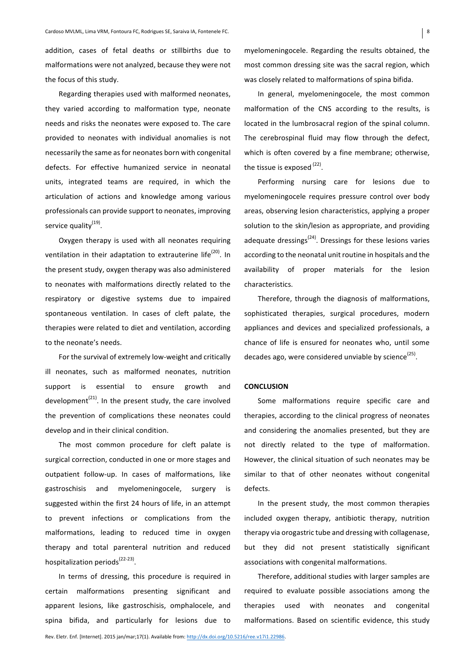addition, cases of fetal deaths or stillbirths due to malformations were not analyzed, because they were not the focus of this study.

Regarding therapies used with malformed neonates, they varied according to malformation type, neonate needs and risks the neonates were exposed to. The care provided to neonates with individual anomalies is not necessarily the same as for neonates born with congenital defects. For effective humanized service in neonatal units, integrated teams are required, in which the articulation of actions and knowledge among various professionals can provide support to neonates, improving service quality<sup>(19)</sup>.

Oxygen therapy is used with all neonates requiring ventilation in their adaptation to extrauterine  $life^{(20)}$ . In the present study, oxygen therapy was also administered to neonates with malformations directly related to the respiratory or digestive systems due to impaired spontaneous ventilation. In cases of cleft palate, the therapies were related to diet and ventilation, according to the neonate's needs.

For the survival of extremely low-weight and critically ill neonates, such as malformed neonates, nutrition support is essential to ensure growth and development<sup>(21)</sup>. In the present study, the care involved the prevention of complications these neonates could develop and in their clinical condition.

The most common procedure for cleft palate is surgical correction, conducted in one or more stages and outpatient follow-up. In cases of malformations, like gastroschisis and myelomeningocele, surgery is suggested within the first 24 hours of life, in an attempt to prevent infections or complications from the malformations, leading to reduced time in oxygen therapy and total parenteral nutrition and reduced hospitalization periods<sup> $(22-23)$ </sup>.

In terms of dressing, this procedure is required in certain malformations presenting significant and apparent lesions, like gastroschisis, omphalocele, and spina bifida, and particularly for lesions due to

In general, myelomeningocele, the most common malformation of the CNS according to the results, is located in the lumbrosacral region of the spinal column. The cerebrospinal fluid may flow through the defect, which is often covered by a fine membrane; otherwise, the tissue is exposed  $<sup>(22)</sup>$ .</sup>

Performing nursing care for lesions due to myelomeningocele requires pressure control over body areas, observing lesion characteristics, applying a proper solution to the skin/lesion as appropriate, and providing adequate dressings<sup> $(24)$ </sup>. Dressings for these lesions varies according to the neonatal unit routine in hospitals and the availability of proper materials for the lesion characteristics.

Therefore, through the diagnosis of malformations, sophisticated therapies, surgical procedures, modern appliances and devices and specialized professionals, a chance of life is ensured for neonates who, until some decades ago, were considered unviable by science<sup>(25)</sup>.

### **CONCLUSION**

Some malformations require specific care and therapies, according to the clinical progress of neonates and considering the anomalies presented, but they are not directly related to the type of malformation. However, the clinical situation of such neonates may be similar to that of other neonates without congenital defects.

In the present study, the most common therapies included oxygen therapy, antibiotic therapy, nutrition therapy via orogastric tube and dressing with collagenase, but they did not present statistically significant associations with congenital malformations.

Therefore, additional studies with larger samples are required to evaluate possible associations among the therapies used with neonates and congenital malformations. Based on scientific evidence, this study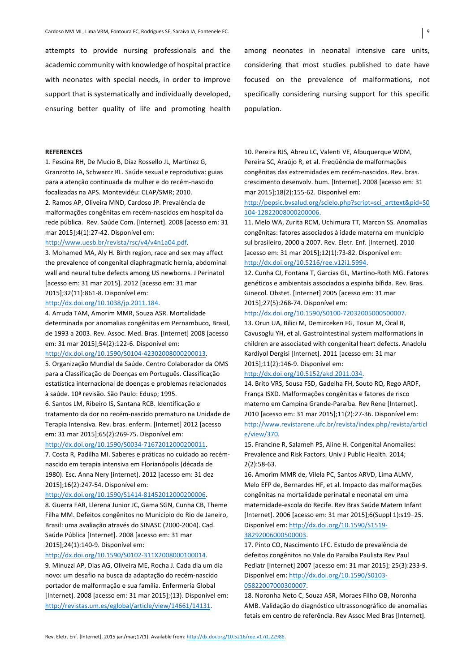attempts to provide nursing professionals and the academic community with knowledge of hospital practice with neonates with special needs, in order to improve support that is systematically and individually developed, ensuring better quality of life and promoting health

among neonates in neonatal intensive care units, considering that most studies published to date have focused on the prevalence of malformations, not specifically considering nursing support for this specific population.

### **REFERENCES**

1. Fescina RH, De Mucio B, Díaz Rossello JL, Martínez G, Granzotto JA, Schwarcz RL. Saúde sexual e reprodutiva: guias para a atenção continuada da mulher e do recém-nascido focalizadas na APS. Montevidéu: CLAP/SMR; 2010. 2. Ramos AP, Oliveira MND, Cardoso JP. Prevalência de malformações congênitas em recém-nascidos em hospital da rede pública. Rev. Saúde Com. [Internet]. 2008 [acesso em: 31 mar 2015]:4(1):27-42. Disponível em:

## http://www.uesb.br/revista/rsc/v4/v4n1a04.pdf.

3. Mohamed MA, Aly H. Birth region, race and sex may affect the prevalence of congenital diaphragmatic hernia, abdominal wall and neural tube defects among US newborns. J Perinatol [acesso em: 31 mar 2015]. 2012 [acesso em: 31 mar 2015];32(11):861-8. Disponível em:

### http://dx.doi.org/10.1038/jp.2011.184.

4. Arruda TAM, Amorim MMR, Souza ASR. Mortalidade determinada por anomalias congênitas em Pernambuco, Brasil, de 1993 a 2003. Rev. Assoc. Med. Bras. [Internet] 2008 [acesso em: 31 mar 2015];54(2):122-6. Disponível em:

## http://dx.doi.org/10.1590/S0104-42302008000200013.

5. Organização Mundial da Saúde. Centro Colaborador da OMS para a Classificação de Doenças em Português. Classificação estatística internacional de doencas e problemas relacionados à saúde. 10ª revisão. São Paulo: Edusp: 1995.

6. Santos LM, Ribeiro IS, Santana RCB. Identificação e tratamento da dor no recém-nascido prematuro na Unidade de Terapia Intensiva. Rev. bras. enferm. [Internet] 2012 [acesso em: 31 mar 2015];65(2):269-75. Disponível em:

### http://dx.doi.org/10.1590/S0034-71672012000200011.

7. Costa R, Padilha MI. Saberes e práticas no cuidado ao recémnascido em terapia intensiva em Florianópolis (década de 1980). Esc. Anna Nery [internet]. 2012 [acesso em: 31 dez 2015];16(2):247-54. Disponível em:

#### http://dx.doi.org/10.1590/S1414-81452012000200006.

8. Guerra FAR, Llerena Junior JC, Gama SGN, Cunha CB, Theme Filha MM. Defeitos congênitos no Município do Rio de Janeiro, Brasil: uma avaliação através do SINASC (2000-2004). Cad. Saúde Pública [Internet]. 2008 [acesso em: 31 mar 2015];24(1):140-9. Disponível em:

#### http://dx.doi.org/10.1590/S0102-311X2008000100014.

9. Minuzzi AP, Dias AG, Oliveira ME, Rocha J. Cada dia um dia novo: um desafio na busca da adaptação do recém-nascido portador de malformação e sua família. Enfermería Global [Internet]. 2008 [acesso em: 31 mar 2015];(13). Disponível em: http://revistas.um.es/eglobal/article/view/14661/14131.

10. Pereira RJS, Abreu LC, Valenti VE, Albuquerque WDM, Pereira SC, Araújo R, et al. Freqüência de malformações congênitas das extremidades em recém-nascidos. Rev. bras. crescimento desenvolv. hum. [Internet]. 2008 [acesso em: 31 mar 2015];18(2):155-62. Disponível em:

http://pepsic.bvsalud.org/scielo.php?script=sci\_arttext&pid=S0 104-12822008000200006.

11. Melo WA, Zurita RCM, Uchimura TT, Marcon SS. Anomalias congênitas: fatores associados à idade materna em município sul brasileiro, 2000 a 2007. Rev. Eletr. Enf. [Internet]. 2010 [acesso em: 31 mar 2015];12(1):73-82. Disponível em: http://dx.doi.org/10.5216/ree.v12i1.5994.

# 12. Cunha CJ, Fontana T, Garcias GL, Martino-Roth MG. Fatores genéticos e ambientais associados a espinha bífida. Rev. Bras. Ginecol. Obstet. [Internet] 2005 [acesso em: 31 mar

2015];27(5):268-74. Disponível em:

### http://dx.doi.org/10.1590/S0100-72032005000500007.

13. Orun UA, Bilici M, Demirceken FG, Tosun M, Öcal B, Cavusoglu YH, et al. Gastrointestinal system malformations in children are associated with congenital heart defects. Anadolu Kardiyol Dergisi [Internet]. 2011 [acesso em: 31 mar 2015];11(2):146-9. Disponível em:

#### http://dx.doi.org/10.5152/akd.2011.034.

14. Brito VRS, Sousa FSD, Gadelha FH, Souto RQ, Rego ARDF, França ISXD. Malformações congênitas e fatores de risco materno em Campina Grande-Paraíba. Rev Rene [Internet]. 2010 [acesso em: 31 mar 2015];11(2):27-36. Disponível em: http://www.revistarene.ufc.br/revista/index.php/revista/articl e/view/370.

15. Francine R, Salameh PS, Aline H. Congenital Anomalies: Prevalence and Risk Factors. Univ J Public Health. 2014; 2(2):58-63.

16. Amorim MMR de, Vilela PC, Santos ARVD, Lima ALMV, Melo EFP de, Bernardes HF, et al. Impacto das malformações congênitas na mortalidade perinatal e neonatal em uma maternidade-escola do Recife. Rev Bras Saúde Matern Infant [Internet]. 2006 [acesso em: 31 mar 2015];6(Suppl 1):s19-25. Disponível em: http://dx.doi.org/10.1590/S1519-38292006000500003.

17. Pinto CO, Nascimento LFC. Estudo de prevalência de defeitos congênitos no Vale do Paraíba Paulista Rev Paul Pediatr [Internet] 2007 [acesso em: 31 mar 2015]; 25(3):233-9. Disponível em: http://dx.doi.org/10.1590/S0103-05822007000300007.

18. Noronha Neto C, Souza ASR, Moraes Filho OB, Noronha AMB. Validação do diagnóstico ultrassonográfico de anomalias fetais em centro de referência. Rev Assoc Med Bras [Internet].